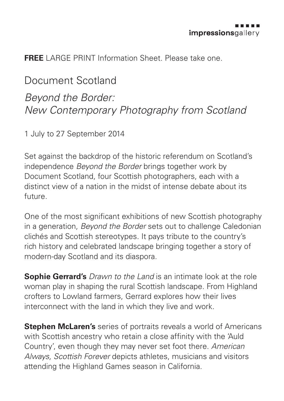**FREE** LARGE PRINT Information Sheet. Please take one.

## Document Scotland *Beyond the Border: New Contemporary Photography from Scotland*

1 July to 27 September 2014

Set against the backdrop of the historic referendum on Scotland's independence *Beyond the Border* brings together work by Document Scotland, four Scottish photographers, each with a distinct view of a nation in the midst of intense debate about its future.

One of the most significant exhibitions of new Scottish photography in a generation, *Beyond the Border* sets out to challenge Caledonian clichés and Scottish stereotypes. It pays tribute to the country's rich history and celebrated landscape bringing together a story of modern-day Scotland and its diaspora.

**Sophie Gerrard's** *Drawn to the Land* is an intimate look at the role woman play in shaping the rural Scottish landscape. From Highland crofters to Lowland farmers, Gerrard explores how their lives interconnect with the land in which they live and work.

**Stephen McLaren's** series of portraits reveals a world of Americans with Scottish ancestry who retain a close affinity with the 'Auld Country', even though they may never set foot there. *American Always, Scottish Forever* depicts athletes, musicians and visitors attending the Highland Games season in California.